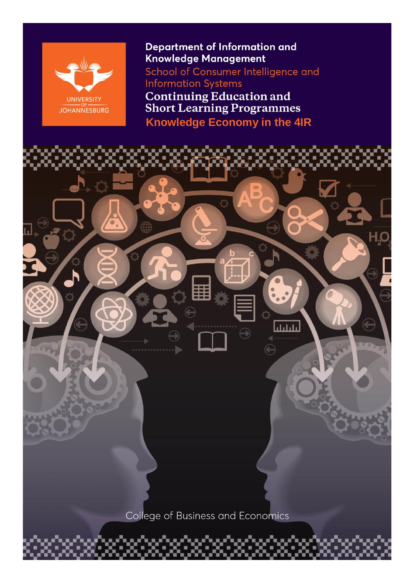

**Department of Information and** Knowledge Management

School of Consumer Intelligence and **Information Systems** 

**Continuing Education and<br>Short Learning Programmes Knowledge Economy in the 4IR**